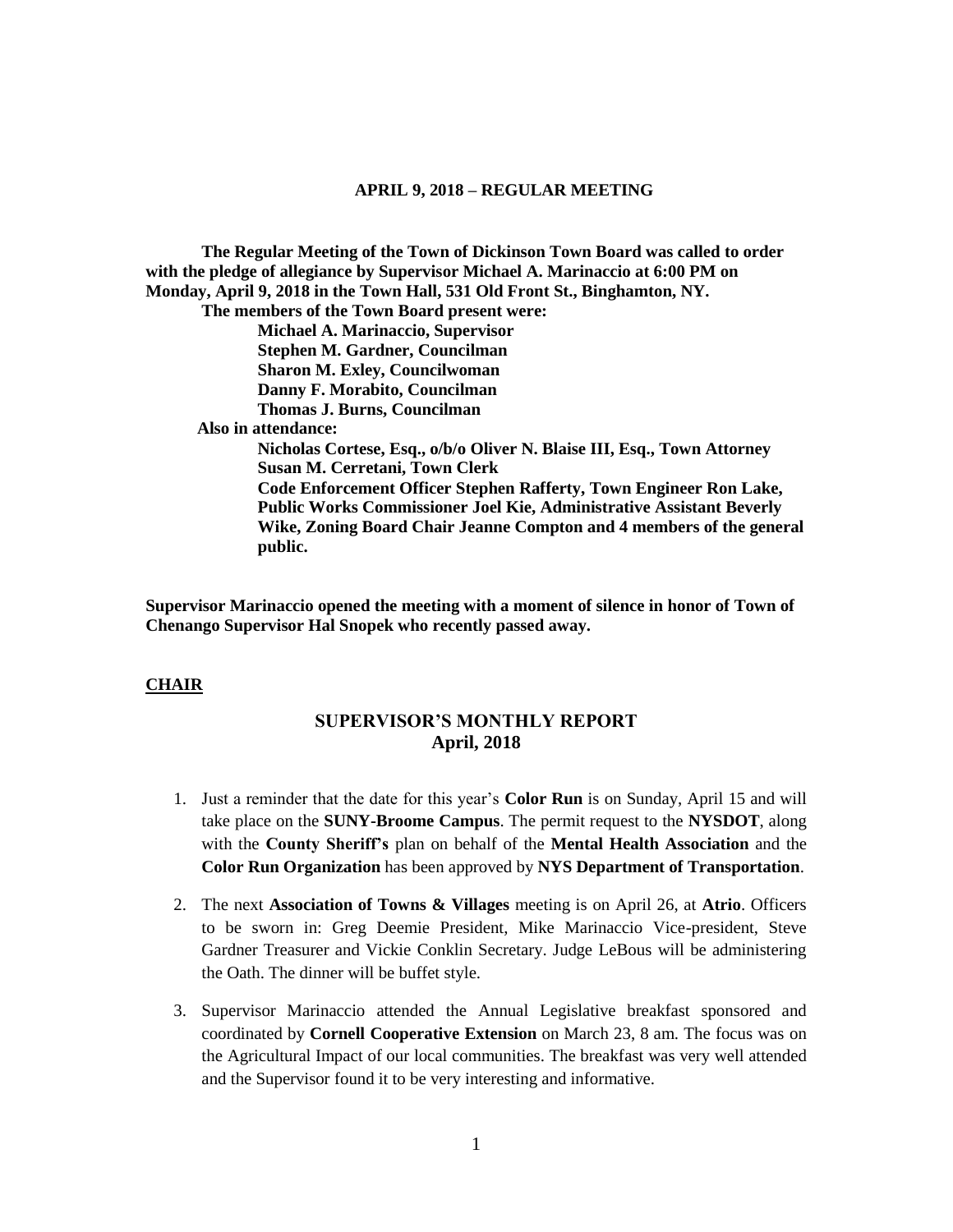**The Regular Meeting of the Town of Dickinson Town Board was called to order with the pledge of allegiance by Supervisor Michael A. Marinaccio at 6:00 PM on Monday, April 9, 2018 in the Town Hall, 531 Old Front St., Binghamton, NY. The members of the Town Board present were:**

**Michael A. Marinaccio, Supervisor Stephen M. Gardner, Councilman Sharon M. Exley, Councilwoman Danny F. Morabito, Councilman Thomas J. Burns, Councilman Also in attendance: Nicholas Cortese, Esq., o/b/o Oliver N. Blaise III, Esq., Town Attorney Susan M. Cerretani, Town Clerk Code Enforcement Officer Stephen Rafferty, Town Engineer Ron Lake, Public Works Commissioner Joel Kie, Administrative Assistant Beverly Wike, Zoning Board Chair Jeanne Compton and 4 members of the general public.**

**Supervisor Marinaccio opened the meeting with a moment of silence in honor of Town of Chenango Supervisor Hal Snopek who recently passed away.**

### **CHAIR**

# **SUPERVISOR'S MONTHLY REPORT April, 2018**

- 1. Just a reminder that the date for this year's **Color Run** is on Sunday, April 15 and will take place on the **SUNY-Broome Campus**. The permit request to the **NYSDOT**, along with the **County Sheriff's** plan on behalf of the **Mental Health Association** and the **Color Run Organization** has been approved by **NYS Department of Transportation**.
- 2. The next **Association of Towns & Villages** meeting is on April 26, at **Atrio**. Officers to be sworn in: Greg Deemie President, Mike Marinaccio Vice-president, Steve Gardner Treasurer and Vickie Conklin Secretary. Judge LeBous will be administering the Oath. The dinner will be buffet style.
- 3. Supervisor Marinaccio attended the Annual Legislative breakfast sponsored and coordinated by **Cornell Cooperative Extension** on March 23, 8 am. The focus was on the Agricultural Impact of our local communities. The breakfast was very well attended and the Supervisor found it to be very interesting and informative.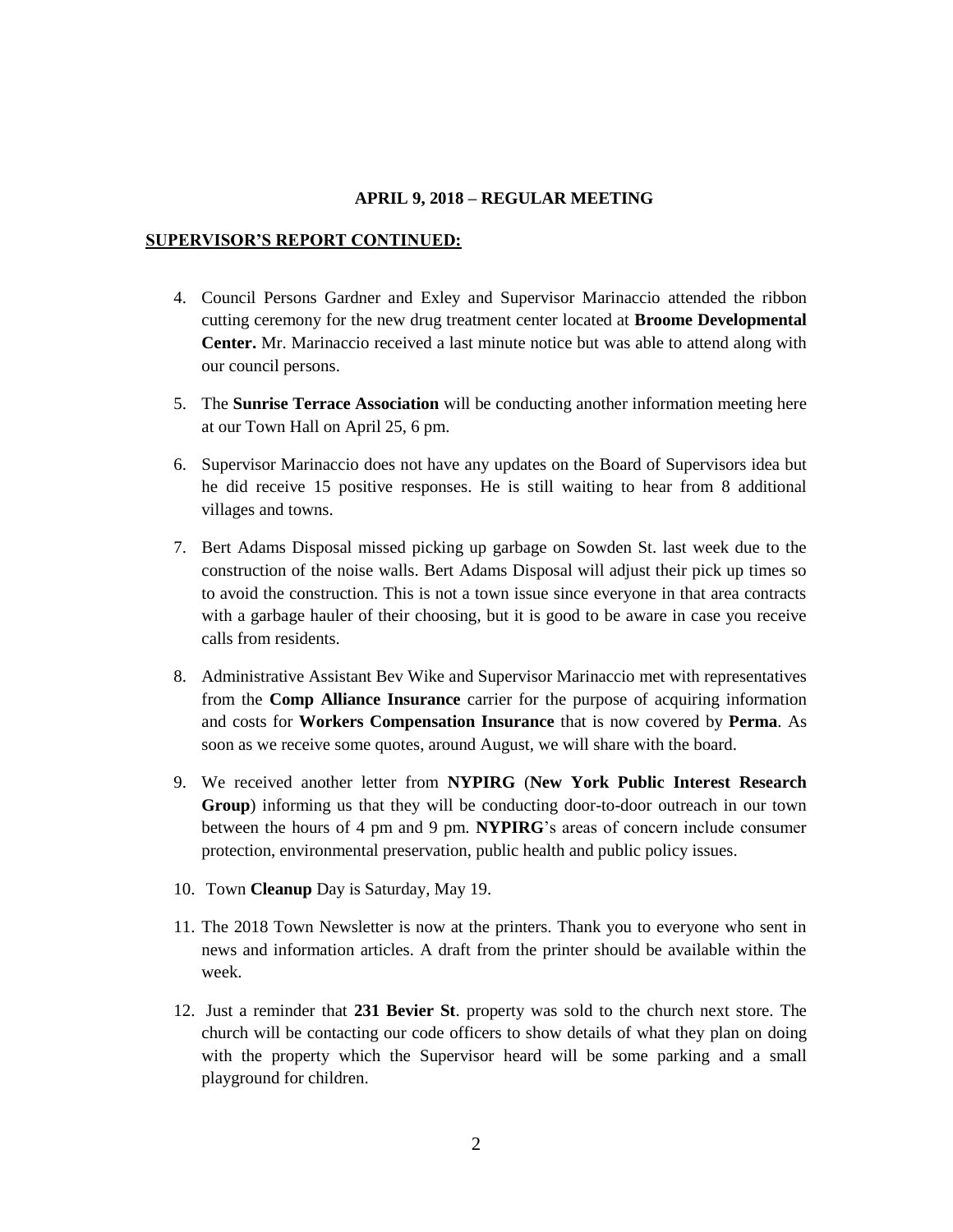#### **SUPERVISOR'S REPORT CONTINUED:**

- 4. Council Persons Gardner and Exley and Supervisor Marinaccio attended the ribbon cutting ceremony for the new drug treatment center located at **Broome Developmental Center.** Mr. Marinaccio received a last minute notice but was able to attend along with our council persons.
- 5. The **Sunrise Terrace Association** will be conducting another information meeting here at our Town Hall on April 25, 6 pm.
- 6. Supervisor Marinaccio does not have any updates on the Board of Supervisors idea but he did receive 15 positive responses. He is still waiting to hear from 8 additional villages and towns.
- 7. Bert Adams Disposal missed picking up garbage on Sowden St. last week due to the construction of the noise walls. Bert Adams Disposal will adjust their pick up times so to avoid the construction. This is not a town issue since everyone in that area contracts with a garbage hauler of their choosing, but it is good to be aware in case you receive calls from residents.
- 8. Administrative Assistant Bev Wike and Supervisor Marinaccio met with representatives from the **Comp Alliance Insurance** carrier for the purpose of acquiring information and costs for **Workers Compensation Insurance** that is now covered by **Perma**. As soon as we receive some quotes, around August, we will share with the board.
- 9. We received another letter from **NYPIRG** (**New York Public Interest Research Group**) informing us that they will be conducting door-to-door outreach in our town between the hours of 4 pm and 9 pm. **NYPIRG**'s areas of concern include consumer protection, environmental preservation, public health and public policy issues.
- 10. Town **Cleanup** Day is Saturday, May 19.
- 11. The 2018 Town Newsletter is now at the printers. Thank you to everyone who sent in news and information articles. A draft from the printer should be available within the week.
- 12. Just a reminder that **231 Bevier St**. property was sold to the church next store. The church will be contacting our code officers to show details of what they plan on doing with the property which the Supervisor heard will be some parking and a small playground for children.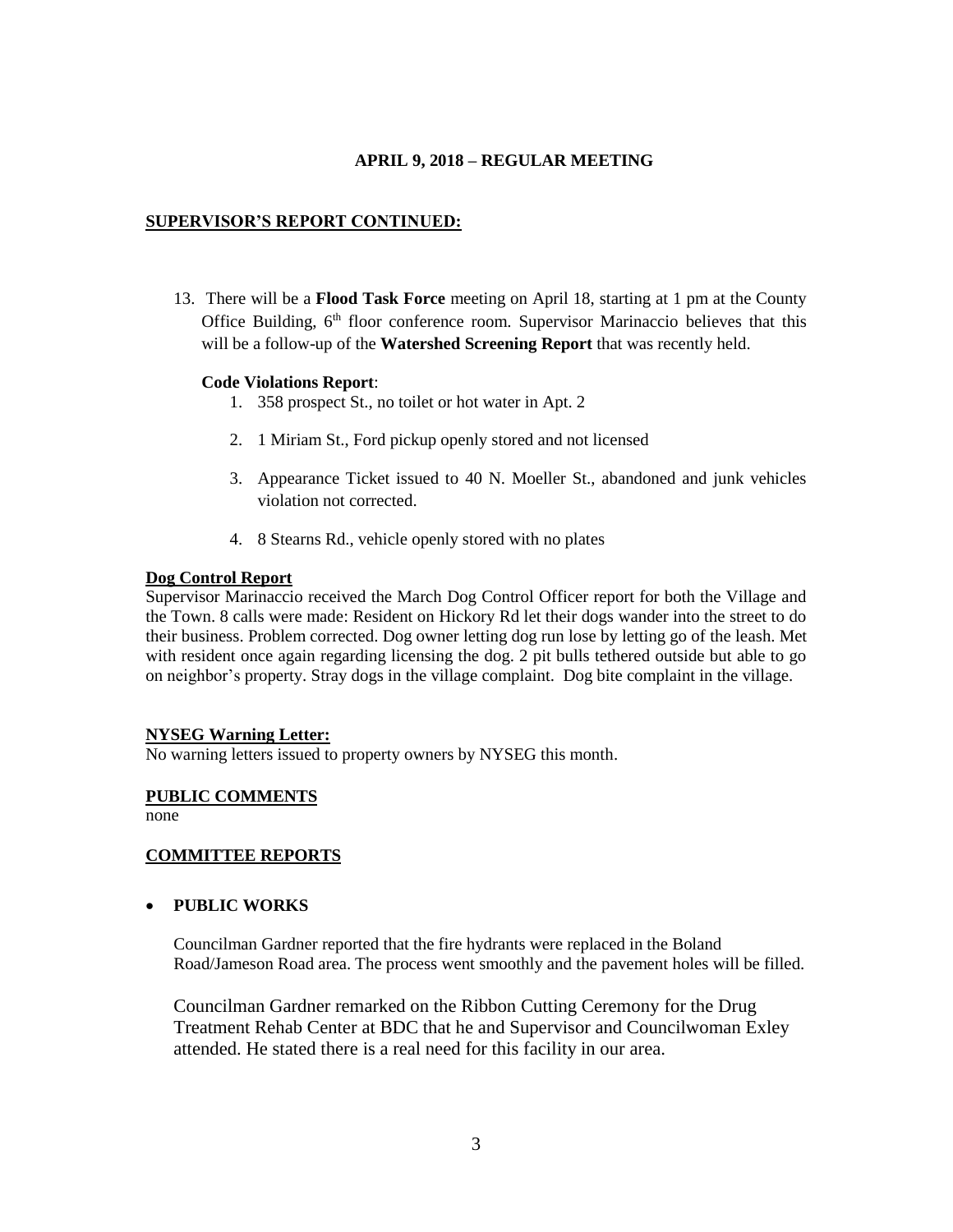## **SUPERVISOR'S REPORT CONTINUED:**

13. There will be a **Flood Task Force** meeting on April 18, starting at 1 pm at the County Office Building,  $6<sup>th</sup>$  floor conference room. Supervisor Marinaccio believes that this will be a follow-up of the **Watershed Screening Report** that was recently held.

## **Code Violations Report**:

- 1. 358 prospect St., no toilet or hot water in Apt. 2
- 2. 1 Miriam St., Ford pickup openly stored and not licensed
- 3. Appearance Ticket issued to 40 N. Moeller St., abandoned and junk vehicles violation not corrected.
- 4. 8 Stearns Rd., vehicle openly stored with no plates

### **Dog Control Report**

Supervisor Marinaccio received the March Dog Control Officer report for both the Village and the Town. 8 calls were made: Resident on Hickory Rd let their dogs wander into the street to do their business. Problem corrected. Dog owner letting dog run lose by letting go of the leash. Met with resident once again regarding licensing the dog. 2 pit bulls tethered outside but able to go on neighbor's property. Stray dogs in the village complaint. Dog bite complaint in the village.

### **NYSEG Warning Letter:**

No warning letters issued to property owners by NYSEG this month.

### **PUBLIC COMMENTS**

none

## **COMMITTEE REPORTS**

### **PUBLIC WORKS**

Councilman Gardner reported that the fire hydrants were replaced in the Boland Road/Jameson Road area. The process went smoothly and the pavement holes will be filled.

Councilman Gardner remarked on the Ribbon Cutting Ceremony for the Drug Treatment Rehab Center at BDC that he and Supervisor and Councilwoman Exley attended. He stated there is a real need for this facility in our area.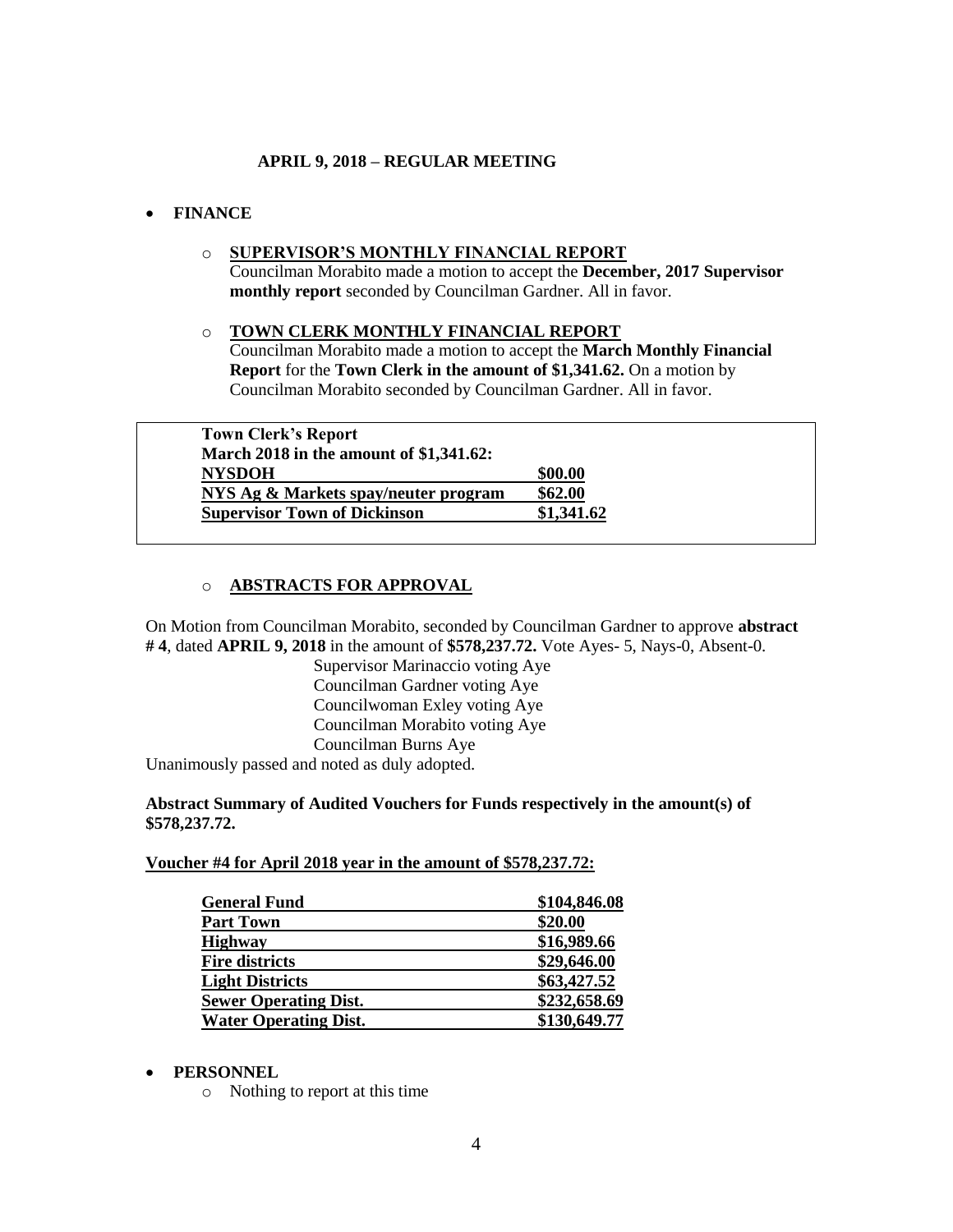# **FINANCE**

o **SUPERVISOR'S MONTHLY FINANCIAL REPORT** Councilman Morabito made a motion to accept the **December, 2017 Supervisor monthly report** seconded by Councilman Gardner. All in favor.

## o **TOWN CLERK MONTHLY FINANCIAL REPORT** Councilman Morabito made a motion to accept the **March Monthly Financial Report** for the **Town Clerk in the amount of \$1,341.62.** On a motion by Councilman Morabito seconded by Councilman Gardner. All in favor.

| <b>Town Clerk's Report</b>              |            |
|-----------------------------------------|------------|
| March 2018 in the amount of \$1,341.62: |            |
| <b>NYSDOH</b>                           | \$00.00    |
| NYS Ag & Markets spay/neuter program    | \$62.00    |
| <b>Supervisor Town of Dickinson</b>     | \$1,341.62 |

# o **ABSTRACTS FOR APPROVAL**

On Motion from Councilman Morabito, seconded by Councilman Gardner to approve **abstract # 4**, dated **APRIL 9, 2018** in the amount of **\$578,237.72.** Vote Ayes- 5, Nays-0, Absent-0.

> Supervisor Marinaccio voting Aye Councilman Gardner voting Aye Councilwoman Exley voting Aye Councilman Morabito voting Aye Councilman Burns Aye

Unanimously passed and noted as duly adopted.

## **Abstract Summary of Audited Vouchers for Funds respectively in the amount(s) of \$578,237.72.**

## **Voucher #4 for April 2018 year in the amount of \$578,237.72:**

| \$104,846.08 |
|--------------|
| \$20.00      |
| \$16,989.66  |
| \$29,646.00  |
| \$63,427.52  |
| \$232,658.69 |
| \$130,649.77 |
|              |

## **PERSONNEL**

o Nothing to report at this time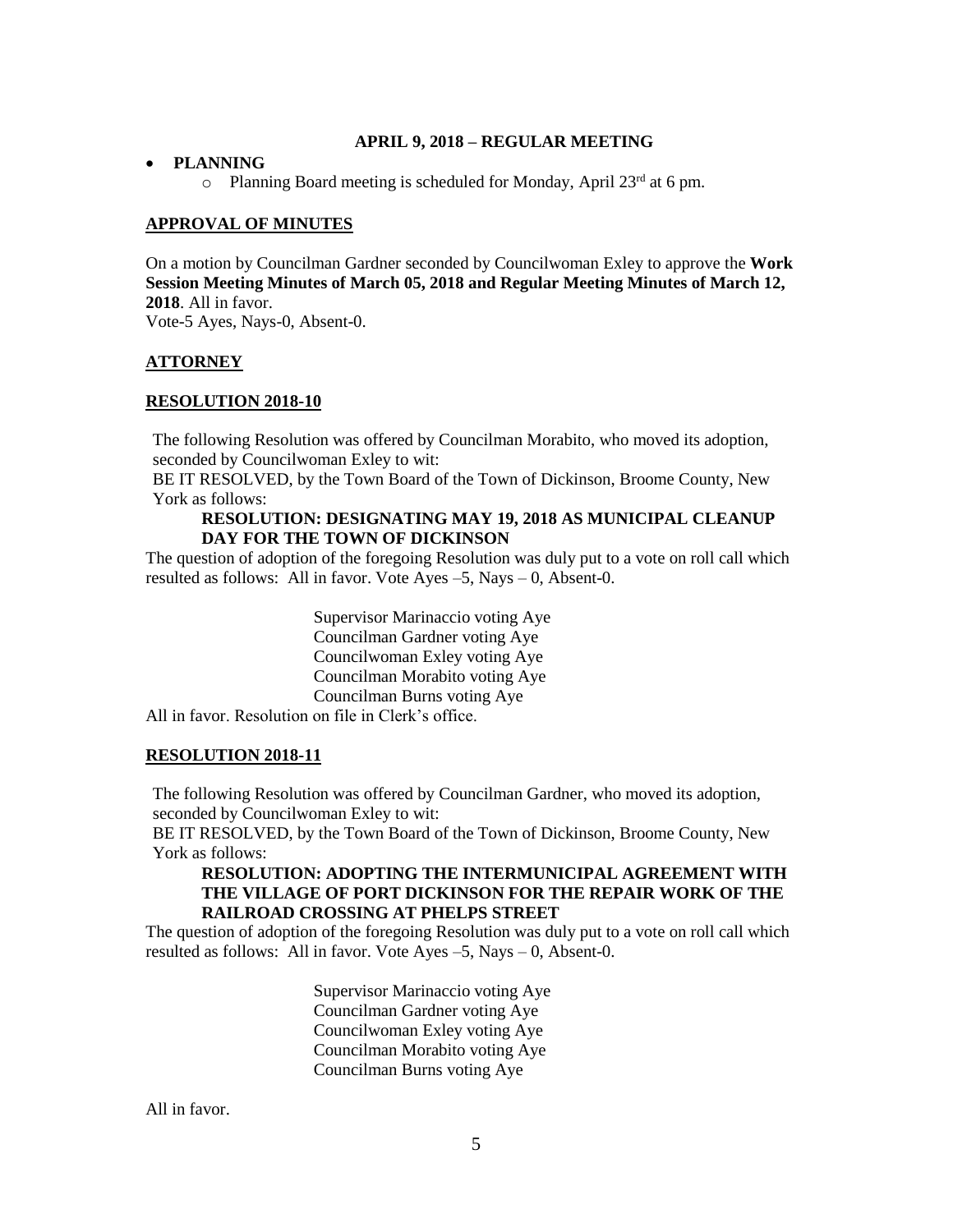## **PLANNING**

 $\circ$  Planning Board meeting is scheduled for Monday, April 23<sup>rd</sup> at 6 pm.

## **APPROVAL OF MINUTES**

On a motion by Councilman Gardner seconded by Councilwoman Exley to approve the **Work Session Meeting Minutes of March 05, 2018 and Regular Meeting Minutes of March 12, 2018**. All in favor.

Vote-5 Ayes, Nays-0, Absent-0.

## **ATTORNEY**

### **RESOLUTION 2018-10**

The following Resolution was offered by Councilman Morabito, who moved its adoption, seconded by Councilwoman Exley to wit:

BE IT RESOLVED, by the Town Board of the Town of Dickinson, Broome County, New York as follows:

### **RESOLUTION: DESIGNATING MAY 19, 2018 AS MUNICIPAL CLEANUP DAY FOR THE TOWN OF DICKINSON**

The question of adoption of the foregoing Resolution was duly put to a vote on roll call which resulted as follows: All in favor. Vote Ayes  $-5$ , Nays  $-0$ , Absent-0.

> Supervisor Marinaccio voting Aye Councilman Gardner voting Aye Councilwoman Exley voting Aye Councilman Morabito voting Aye Councilman Burns voting Aye

All in favor. Resolution on file in Clerk's office.

### **RESOLUTION 2018-11**

The following Resolution was offered by Councilman Gardner, who moved its adoption, seconded by Councilwoman Exley to wit:

BE IT RESOLVED, by the Town Board of the Town of Dickinson, Broome County, New York as follows:

## **RESOLUTION: ADOPTING THE INTERMUNICIPAL AGREEMENT WITH THE VILLAGE OF PORT DICKINSON FOR THE REPAIR WORK OF THE RAILROAD CROSSING AT PHELPS STREET**

The question of adoption of the foregoing Resolution was duly put to a vote on roll call which resulted as follows: All in favor. Vote Ayes  $-5$ , Nays  $-0$ , Absent-0.

> Supervisor Marinaccio voting Aye Councilman Gardner voting Aye Councilwoman Exley voting Aye Councilman Morabito voting Aye Councilman Burns voting Aye

All in favor.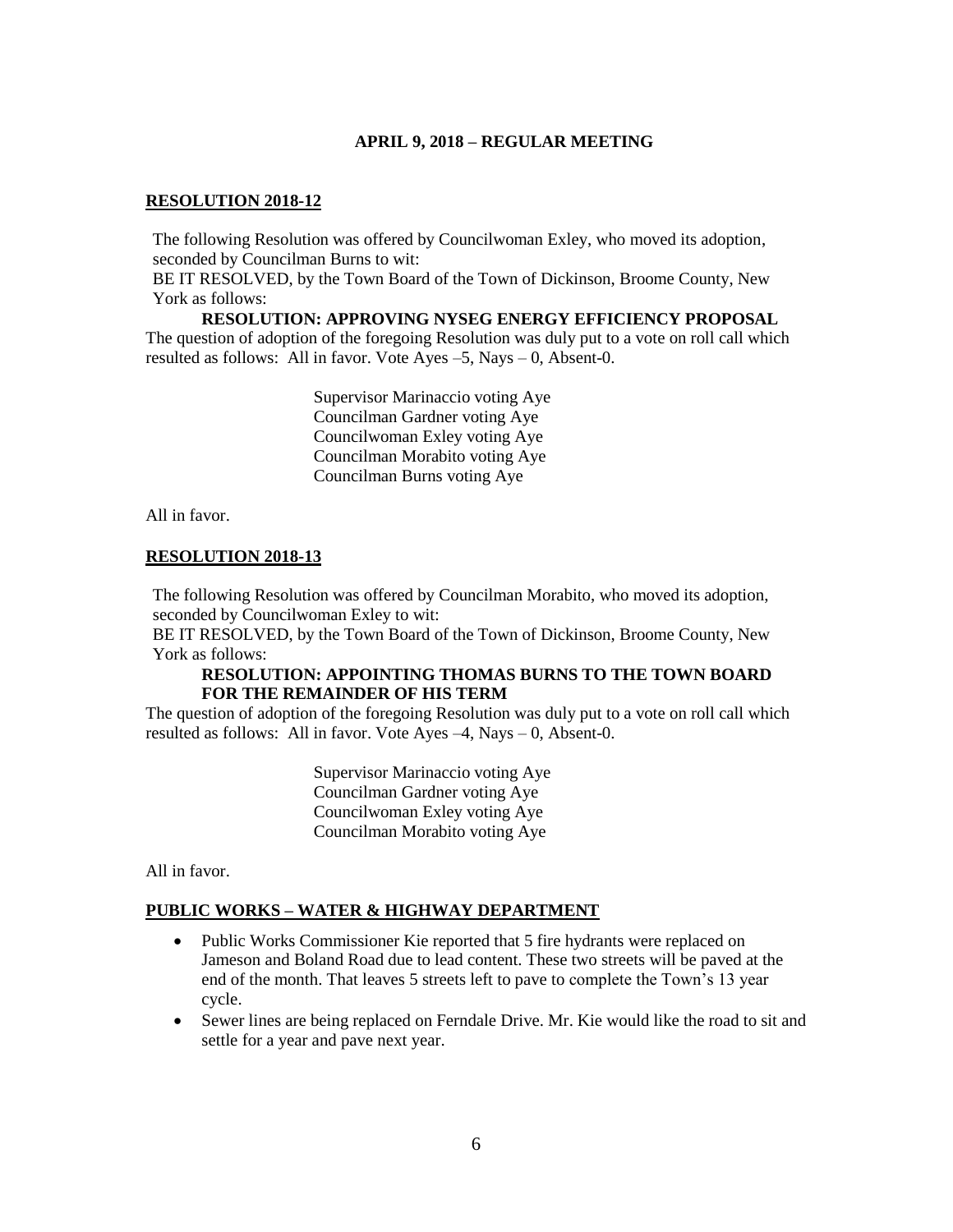## **RESOLUTION 2018-12**

The following Resolution was offered by Councilwoman Exley, who moved its adoption, seconded by Councilman Burns to wit:

BE IT RESOLVED, by the Town Board of the Town of Dickinson, Broome County, New York as follows:

**RESOLUTION: APPROVING NYSEG ENERGY EFFICIENCY PROPOSAL** The question of adoption of the foregoing Resolution was duly put to a vote on roll call which resulted as follows: All in favor. Vote Ayes –5, Nays – 0, Absent-0.

> Supervisor Marinaccio voting Aye Councilman Gardner voting Aye Councilwoman Exley voting Aye Councilman Morabito voting Aye Councilman Burns voting Aye

All in favor.

## **RESOLUTION 2018-13**

The following Resolution was offered by Councilman Morabito, who moved its adoption, seconded by Councilwoman Exley to wit:

BE IT RESOLVED, by the Town Board of the Town of Dickinson, Broome County, New York as follows:

### **RESOLUTION: APPOINTING THOMAS BURNS TO THE TOWN BOARD FOR THE REMAINDER OF HIS TERM**

The question of adoption of the foregoing Resolution was duly put to a vote on roll call which resulted as follows: All in favor. Vote Ayes –4, Nays – 0, Absent-0.

> Supervisor Marinaccio voting Aye Councilman Gardner voting Aye Councilwoman Exley voting Aye Councilman Morabito voting Aye

All in favor.

### **PUBLIC WORKS – WATER & HIGHWAY DEPARTMENT**

- Public Works Commissioner Kie reported that 5 fire hydrants were replaced on Jameson and Boland Road due to lead content. These two streets will be paved at the end of the month. That leaves 5 streets left to pave to complete the Town's 13 year cycle.
- Sewer lines are being replaced on Ferndale Drive. Mr. Kie would like the road to sit and settle for a year and pave next year.